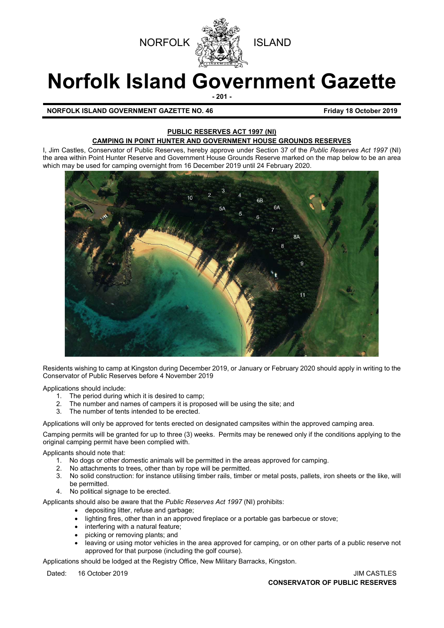

# **Norfolk Island Government Gazette**

**- 201 -**

**NORFOLK ISLAND GOVERNMENT GAZETTE NO. 46** *CONSERVERSION CONSTRUCT 2019* 

#### **PUBLIC RESERVES ACT 1997 (NI) CAMPING IN POINT HUNTER AND GOVERNMENT HOUSE GROUNDS RESERVES**

I, Jim Castles, Conservator of Public Reserves, hereby approve under Section 37 of the *Public Reserves Act 1997* (NI) the area within Point Hunter Reserve and Government House Grounds Reserve marked on the map below to be an area which may be used for camping overnight from 16 December 2019 until 24 February 2020.



Residents wishing to camp at Kingston during December 2019, or January or February 2020 should apply in writing to the Conservator of Public Reserves before 4 November 2019

Applications should include:

- 1. The period during which it is desired to camp;
- 2. The number and names of campers it is proposed will be using the site; and
- 3. The number of tents intended to be erected.

Applications will only be approved for tents erected on designated campsites within the approved camping area.

Camping permits will be granted for up to three (3) weeks. Permits may be renewed only if the conditions applying to the original camping permit have been complied with.

Applicants should note that:

- 1. No dogs or other domestic animals will be permitted in the areas approved for camping.
- 2. No attachments to trees, other than by rope will be permitted.
- 3. No solid construction: for instance utilising timber rails, timber or metal posts, pallets, iron sheets or the like, will be permitted.
- 4. No political signage to be erected.

Applicants should also be aware that the *Public Reserves Act 1997* (NI) prohibits:

- depositing litter, refuse and garbage;
- lighting fires, other than in an approved fireplace or a portable gas barbecue or stove;
- interfering with a natural feature;
- picking or removing plants; and
- leaving or using motor vehicles in the area approved for camping, or on other parts of a public reserve not approved for that purpose (including the golf course).

Applications should be lodged at the Registry Office, New Military Barracks, Kingston.

Dated: 16 October 2019 **JIM CASTLES**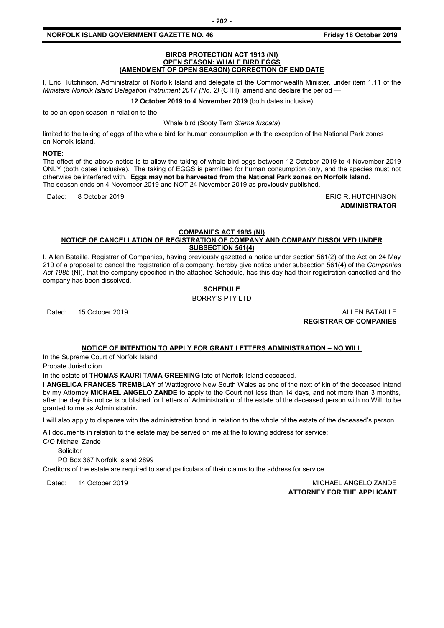#### **BIRDS PROTECTION ACT 1913 (NI) OPEN SEASON: WHALE BIRD EGGS (AMENDMENT OF OPEN SEASON) CORRECTION OF END DATE**

I, Eric Hutchinson, Administrator of Norfolk Island and delegate of the Commonwealth Minister, under item 1.11 of the *Ministers Norfolk Island Delegation Instrument 2017 (No. 2)* (CTH), amend and declare the period

**12 October 2019 to 4 November 2019** (both dates inclusive)

to be an open season in relation to the

Whale bird (Sooty Tern *Sterna fuscata*)

limited to the taking of eggs of the whale bird for human consumption with the exception of the National Park zones on Norfolk Island.

#### **NOTE**:

The effect of the above notice is to allow the taking of whale bird eggs between 12 October 2019 to 4 November 2019 ONLY (both dates inclusive). The taking of EGGS is permitted for human consumption only, and the species must not otherwise be interfered with. **Eggs may not be harvested from the National Park zones on Norfolk Island.** The season ends on 4 November 2019 and NOT 24 November 2019 as previously published.

Dated: 8 October 2019 ERIC R. HUTCHINSON

**ADMINISTRATOR**

#### **COMPANIES ACT 1985 (NI) NOTICE OF CANCELLATION OF REGISTRATION OF COMPANY AND COMPANY DISSOLVED UNDER SUBSECTION 561(4)**

I, Allen Bataille, Registrar of Companies, having previously gazetted a notice under section 561(2) of the Act on 24 May 219 of a proposal to cancel the registration of a company, hereby give notice under subsection 561(4) of the *Companies Act 1985* (NI), that the company specified in the attached Schedule, has this day had their registration cancelled and the company has been dissolved.

# **SCHEDULE**

BORRY'S PTY LTD

Dated: 15 October 2019 **ALLEN BATAILLE REGISTRAR OF COMPANIES**

#### **NOTICE OF INTENTION TO APPLY FOR GRANT LETTERS ADMINISTRATION – NO WILL**

In the Supreme Court of Norfolk Island

Probate Jurisdiction

In the estate of **THOMAS KAURI TAMA GREENING** late of Norfolk Island deceased.

I **ANGELICA FRANCES TREMBLAY** of Wattlegrove New South Wales as one of the next of kin of the deceased intend by my Attorney **MICHAEL ANGELO ZANDE** to apply to the Court not less than 14 days, and not more than 3 months, after the day this notice is published for Letters of Administration of the estate of the deceased person with no Will to be granted to me as Administratrix.

I will also apply to dispense with the administration bond in relation to the whole of the estate of the deceased's person.

All documents in relation to the estate may be served on me at the following address for service:

C/O Michael Zande

**Solicitor** 

PO Box 367 Norfolk Island 2899

Creditors of the estate are required to send particulars of their claims to the address for service.

Dated: 14 October 2019 MICHAEL ANGELO ZANDE **ATTORNEY FOR THE APPLICANT**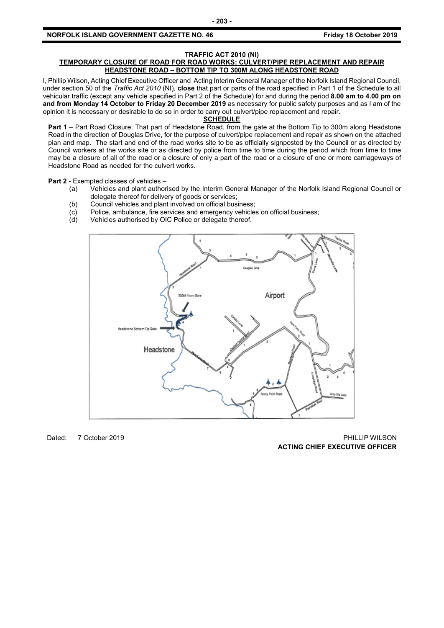#### **TRAFFIC ACT 2010 (NI)**

#### **TEMPORARY CLOSURE OF ROAD FOR ROAD WORKS: CULVERT/PIPE REPLACEMENT AND REPAIR HEADSTONE ROAD – BOTTOM TIP TO 300M ALONG HEADSTONE ROAD**

I, Phillip Wilson, Acting Chief Executive Officer and Acting Interim General Manager of the Norfolk Island Regional Council, under section 50 of the *Traffic Act 2010* (NI), **close** that part or parts of the road specified in Part 1 of the Schedule to all vehicular traffic (except any vehicle specified in Part 2 of the Schedule) for and during the period **8.00 am to 4.00 pm on and from Monday 14 October to Friday 20 December 2019** as necessary for public safety purposes and as I am of the opinion it is necessary or desirable to do so in order to carry out culvert/pipe replacement and repair.

#### **SCHEDULE**

**Part 1** – Part Road Closure: That part of Headstone Road, from the gate at the Bottom Tip to 300m along Headstone Road in the direction of Douglas Drive, for the purpose of culvert/pipe replacement and repair as shown on the attached plan and map. The start and end of the road works site to be as officially signposted by the Council or as directed by Council workers at the works site or as directed by police from time to time during the period which from time to time may be a closure of all of the road or a closure of only a part of the road or a closure of one or more carriageways of Headstone Road as needed for the culvert works.

**Part 2** - Exempted classes of vehicles –

- (a) Vehicles and plant authorised by the Interim General Manager of the Norfolk Island Regional Council or delegate thereof for delivery of goods or services;
- 
- (b) Council vehicles and plant involved on official business;<br>(c) Police, ambulance, fire services and emergency vehicle (c) Police, ambulance, fire services and emergency vehicles on official business;<br>(d) Vehicles authorised by OIC Police or delegate thereof.
- Vehicles authorised by OIC Police or delegate thereof.



Dated: 7 October 2019 PHILLIP WILSON **ACTING CHIEF EXECUTIVE OFFICER**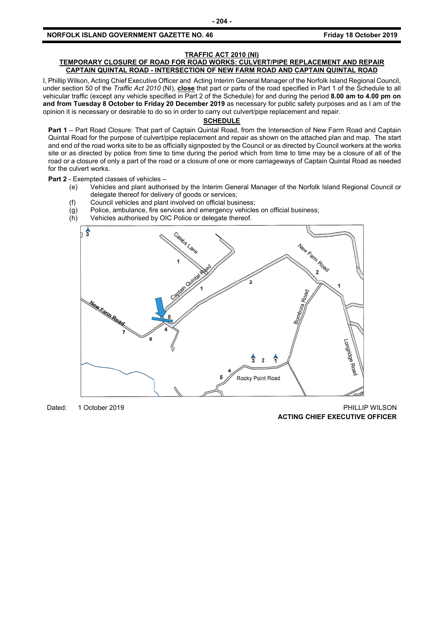#### **NORFOLK ISLAND GOVERNMENT GAZETTE NO. 46 Friday 18 October 2019**

#### **TRAFFIC ACT 2010 (NI)**

#### **TEMPORARY CLOSURE OF ROAD FOR ROAD WORKS: CULVERT/PIPE REPLACEMENT AND REPAIR CAPTAIN QUINTAL ROAD - INTERSECTION OF NEW FARM ROAD AND CAPTAIN QUINTAL ROAD**

I, Phillip Wilson, Acting Chief Executive Officer and Acting Interim General Manager of the Norfolk Island Regional Council, under section 50 of the *Traffic Act 2010* (NI), **close** that part or parts of the road specified in Part 1 of the Schedule to all vehicular traffic (except any vehicle specified in Part 2 of the Schedule) for and during the period **8.00 am to 4.00 pm on and from Tuesday 8 October to Friday 20 December 2019** as necessary for public safety purposes and as I am of the opinion it is necessary or desirable to do so in order to carry out culvert/pipe replacement and repair.

### **SCHEDULE**

**Part 1** – Part Road Closure: That part of Captain Quintal Road, from the Intersection of New Farm Road and Captain Quintal Road for the purpose of culvert/pipe replacement and repair as shown on the attached plan and map. The start and end of the road works site to be as officially signposted by the Council or as directed by Council workers at the works site or as directed by police from time to time during the period which from time to time may be a closure of all of the road or a closure of only a part of the road or a closure of one or more carriageways of Captain Quintal Road as needed for the culvert works.

#### **Part 2** - Exempted classes of vehicles –

- (e) Vehicles and plant authorised by the Interim General Manager of the Norfolk Island Regional Council or delegate thereof for delivery of goods or services;
- (f) Council vehicles and plant involved on official business;
- $\overline{g}(g)$  Police, ambulance, fire services and emergency vehicles on official business;<br>(h) Vehicles authorised by OIC Police or delegate thereof.
- Vehicles authorised by OIC Police or delegate thereof.



Dated: 1 October 2019 **PHILLIP WILSON ACTING CHIEF EXECUTIVE OFFICER**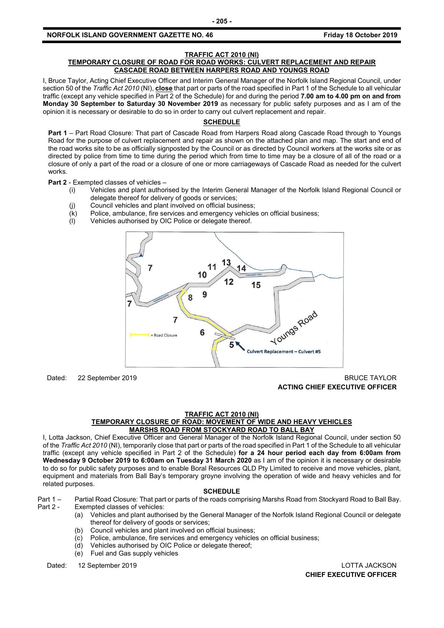#### **NORFOLK ISLAND GOVERNMENT GAZETTE NO. 46** *CONSERVERSION CONTROLY 18 October 2019*

#### **TRAFFIC ACT 2010 (NI)**

#### **TEMPORARY CLOSURE OF ROAD FOR ROAD WORKS: CULVERT REPLACEMENT AND REPAIR CASCADE ROAD BETWEEN HARPERS ROAD AND YOUNGS ROAD**

I, Bruce Taylor, Acting Chief Executive Officer and Interim General Manager of the Norfolk Island Regional Council, under section 50 of the *Traffic Act 2010* (NI), **close** that part or parts of the road specified in Part 1 of the Schedule to all vehicular traffic (except any vehicle specified in Part 2 of the Schedule) for and during the period **7.00 am to 4.00 pm on and from Monday 30 September to Saturday 30 November 2019** as necessary for public safety purposes and as I am of the opinion it is necessary or desirable to do so in order to carry out culvert replacement and repair.

# **SCHEDULE**

**Part 1** – Part Road Closure: That part of Cascade Road from Harpers Road along Cascade Road through to Youngs Road for the purpose of culvert replacement and repair as shown on the attached plan and map. The start and end of the road works site to be as officially signposted by the Council or as directed by Council workers at the works site or as directed by police from time to time during the period which from time to time may be a closure of all of the road or a closure of only a part of the road or a closure of one or more carriageways of Cascade Road as needed for the culvert works.

**Part 2** - Exempted classes of vehicles –

- (i) Vehicles and plant authorised by the Interim General Manager of the Norfolk Island Regional Council or delegate thereof for delivery of goods or services;
	- (j) Council vehicles and plant involved on official business;
	- (k) Police, ambulance, fire services and emergency vehicles on official business;
	- (l) Vehicles authorised by OIC Police or delegate thereof.



Dated: 22 September 2019 BRUCE TAYLOR

**ACTING CHIEF EXECUTIVE OFFICER**

#### **TRAFFIC ACT 2010 (NI)**

#### **TEMPORARY CLOSURE OF ROAD: MOVEMENT OF WIDE AND HEAVY VEHICLES MARSHS ROAD FROM STOCKYARD ROAD TO BALL BAY**

I, Lotta Jackson, Chief Executive Officer and General Manager of the Norfolk Island Regional Council, under section 50 of the *Traffic Act 2010* (NI), temporarily close that part or parts of the road specified in Part 1 of the Schedule to all vehicular traffic (except any vehicle specified in Part 2 of the Schedule) **for a 24 hour period each day from 6:00am from Wednesday 9 October 2019 to 6:00am on Tuesday 31 March 2020** as I am of the opinion it is necessary or desirable to do so for public safety purposes and to enable Boral Resources QLD Pty Limited to receive and move vehicles, plant, equipment and materials from Ball Bay's temporary groyne involving the operation of wide and heavy vehicles and for related purposes.

#### **SCHEDULE**

Part 1 – Partial Road Closure: That part or parts of the roads comprising Marshs Road from Stockyard Road to Ball Bay.<br>Part 2 - Exempted classes of vehicles:

- Exempted classes of vehicles:
	- (a) Vehicles and plant authorised by the General Manager of the Norfolk Island Regional Council or delegate thereof for delivery of goods or services;
	- (b) Council vehicles and plant involved on official business;
	- (c) Police, ambulance, fire services and emergency vehicles on official business;
	- (d) Vehicles authorised by OIC Police or delegate thereof;
	- (e) Fuel and Gas supply vehicles

Dated: 12 September 2019 LOTTA JACKSON

**CHIEF EXECUTIVE OFFICER**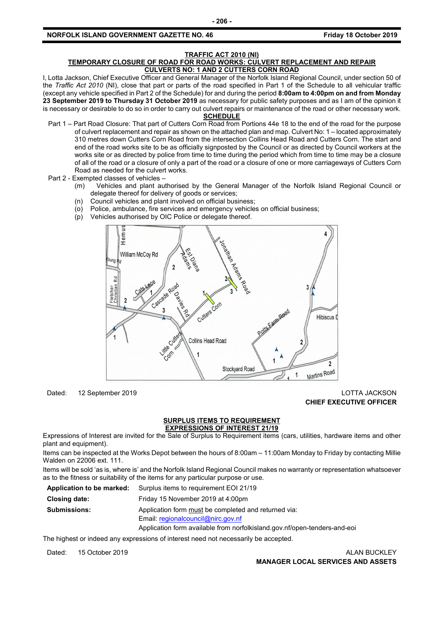#### **NORFOLK ISLAND GOVERNMENT GAZETTE NO. 46** *CONSERVERSION CONSTRUCT 2019*

# **TRAFFIC ACT 2010 (NI)**

#### **TEMPORARY CLOSURE OF ROAD FOR ROAD WORKS: CULVERT REPLACEMENT AND REPAIR CULVERTS NO: 1 AND 2 CUTTERS CORN ROAD**

I, Lotta Jackson, Chief Executive Officer and General Manager of the Norfolk Island Regional Council, under section 50 of the *Traffic Act 2010* (NI), close that part or parts of the road specified in Part 1 of the Schedule to all vehicular traffic (except any vehicle specified in Part 2 of the Schedule) for and during the period **8:00am to 4:00pm on and from Monday 23 September 2019 to Thursday 31 October 2019** as necessary for public safety purposes and as I am of the opinion it is necessary or desirable to do so in order to carry out culvert repairs or maintenance of the road or other necessary work.

#### **SCHEDULE**

- Part 1 Part Road Closure: That part of Cutters Corn Road from Portions 44e 18 to the end of the road for the purpose of culvert replacement and repair as shown on the attached plan and map. Culvert No: 1 – located approximately 310 metres down Cutters Corn Road from the intersection Collins Head Road and Cutters Corn. The start and end of the road works site to be as officially signposted by the Council or as directed by Council workers at the works site or as directed by police from time to time during the period which from time to time may be a closure of all of the road or a closure of only a part of the road or a closure of one or more carriageways of Cutters Corn Road as needed for the culvert works.
- Part 2 Exempted classes of vehicles
	- (m) Vehicles and plant authorised by the General Manager of the Norfolk Island Regional Council or delegate thereof for delivery of goods or services;
	- (n) Council vehicles and plant involved on official business;
	- (o) Police, ambulance, fire services and emergency vehicles on official business;
	- (p) Vehicles authorised by OIC Police or delegate thereof.



#### Dated: 12 September 2019 LOTTA JACKSON **CHIEF EXECUTIVE OFFICER**

#### **SURPLUS ITEMS TO REQUIREMENT EXPRESSIONS OF INTEREST 21/19**

Expressions of Interest are invited for the Sale of Surplus to Requirement items (cars, utilities, hardware items and other plant and equipment).

Items can be inspected at the Works Depot between the hours of 8:00am – 11:00am Monday to Friday by contacting Millie Walden on 22006 ext. 111.

Items will be sold 'as is, where is' and the Norfolk Island Regional Council makes no warranty or representation whatsoever as to the fitness or suitability of the items for any particular purpose or use.

| Application to be marked: | Surplus items to requirement EOI 21/19                                    |
|---------------------------|---------------------------------------------------------------------------|
| Closing date:             | Friday 15 November 2019 at 4:00pm                                         |
| <b>Submissions:</b>       | Application form must be completed and returned via:                      |
|                           | Email: regionalcouncil@nirc.gov.nf                                        |
|                           | Application form available from norfolkisland.gov.nf/open-tenders-and-eoi |

The highest or indeed any expressions of interest need not necessarily be accepted.

Dated: 15 October 2019 **ALAN BUCKLEY MANAGER LOCAL SERVICES AND ASSETS**